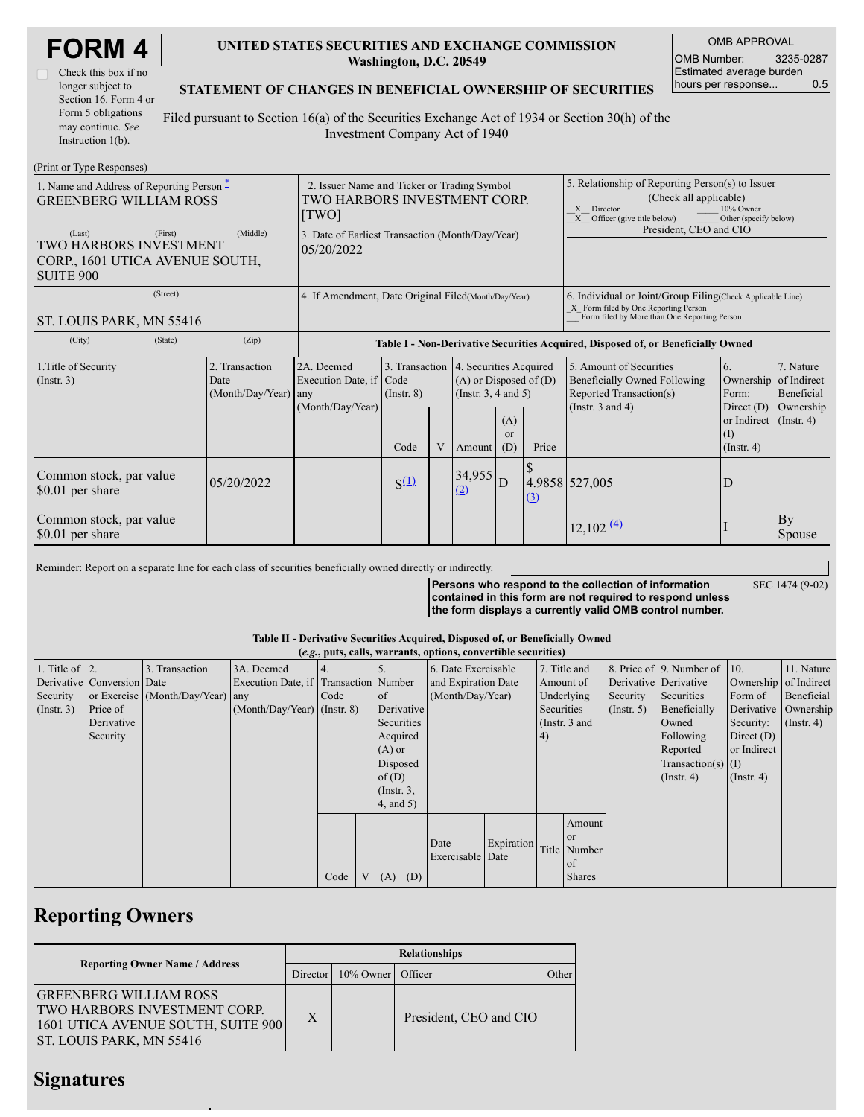| <b>FORM4</b> |  |
|--------------|--|
|--------------|--|

| Check this box if no  |
|-----------------------|
| longer subject to     |
| Section 16. Form 4 or |
| Form 5 obligations    |
| may continue. See     |
| Instruction $1(b)$ .  |

### **UNITED STATES SECURITIES AND EXCHANGE COMMISSION Washington, D.C. 20549**

OMB APPROVAL OMB Number: 3235-0287 Estimated average burden hours per response... 0.5

SEC 1474 (9-02)

### **STATEMENT OF CHANGES IN BENEFICIAL OWNERSHIP OF SECURITIES**

Filed pursuant to Section 16(a) of the Securities Exchange Act of 1934 or Section 30(h) of the Investment Company Act of 1940

| (Print or Type Responses)                                                               |                                                                                      |                                            |                                                                                  |                                   |   |                                                                                                                                                                  |                             |       |                                                                                    |                                                        |                                        |
|-----------------------------------------------------------------------------------------|--------------------------------------------------------------------------------------|--------------------------------------------|----------------------------------------------------------------------------------|-----------------------------------|---|------------------------------------------------------------------------------------------------------------------------------------------------------------------|-----------------------------|-------|------------------------------------------------------------------------------------|--------------------------------------------------------|----------------------------------------|
| 1. Name and Address of Reporting Person $\tilde{-}$<br><b>GREENBERG WILLIAM ROSS</b>    | 2. Issuer Name and Ticker or Trading Symbol<br>TWO HARBORS INVESTMENT CORP.<br>[TWO] |                                            |                                                                                  |                                   |   | 5. Relationship of Reporting Person(s) to Issuer<br>(Check all applicable)<br>X Director<br>10% Owner<br>$X$ Officer (give title below)<br>Other (specify below) |                             |       |                                                                                    |                                                        |                                        |
| (Last)<br>TWO HARBORS INVESTMENT<br>CORP., 1601 UTICA AVENUE SOUTH,<br><b>SUITE 900</b> | 3. Date of Earliest Transaction (Month/Day/Year)<br>05/20/2022                       |                                            |                                                                                  |                                   |   | President, CEO and CIO                                                                                                                                           |                             |       |                                                                                    |                                                        |                                        |
| ST. LOUIS PARK, MN 55416                                                                | 4. If Amendment, Date Original Filed (Month/Day/Year)                                |                                            |                                                                                  |                                   |   | 6. Individual or Joint/Group Filing(Check Applicable Line)<br>X Form filed by One Reporting Person<br>Form filed by More than One Reporting Person               |                             |       |                                                                                    |                                                        |                                        |
| (City)                                                                                  | (State)                                                                              | (Zip)                                      | Table I - Non-Derivative Securities Acquired, Disposed of, or Beneficially Owned |                                   |   |                                                                                                                                                                  |                             |       |                                                                                    |                                                        |                                        |
| 1. Title of Security<br>$($ Instr. 3 $)$                                                |                                                                                      | 2. Transaction<br>Date<br>(Month/Day/Year) | 2A. Deemed<br>Execution Date, if Code<br>any                                     | 3. Transaction<br>$($ Instr. $8)$ |   | 4. Securities Acquired<br>$(A)$ or Disposed of $(D)$<br>(Instr. $3, 4$ and $5$ )                                                                                 |                             |       | 5. Amount of Securities<br>Beneficially Owned Following<br>Reported Transaction(s) | 6.<br>Ownership<br>Form:                               | 7. Nature<br>of Indirect<br>Beneficial |
|                                                                                         |                                                                                      |                                            | (Month/Day/Year)                                                                 | Code                              | V | Amount                                                                                                                                                           | (A)<br><sub>or</sub><br>(D) | Price | (Instr. $3$ and $4$ )                                                              | Direct $(D)$<br>or Indirect<br>(I)<br>$($ Instr. 4 $)$ | Ownership<br>$($ Instr. 4)             |
| Common stock, par value<br>\$0.01 per share                                             |                                                                                      | 05/20/2022                                 |                                                                                  | $S^{(\underline{1})}$             |   | 34,955<br>(2)                                                                                                                                                    | D                           | (3)   | 4.9858 527,005                                                                     | D                                                      |                                        |
| Common stock, par value<br>\$0.01 per share                                             |                                                                                      |                                            |                                                                                  |                                   |   |                                                                                                                                                                  |                             |       | $12,102 \frac{(4)}{2}$                                                             |                                                        | By<br>Spouse                           |

Reminder: Report on a separate line for each class of securities beneficially owned directly or indirectly.

**Persons who respond to the collection of information contained in this form are not required to respond unless the form displays a currently valid OMB control number.**

#### **Table II - Derivative Securities Acquired, Disposed of, or Beneficially Owned**

| (e.g., puts, calls, warrants, options, convertible securities) |                            |                                  |                                       |      |  |                     |                     |                                |              |              |                      |                              |                       |                       |            |
|----------------------------------------------------------------|----------------------------|----------------------------------|---------------------------------------|------|--|---------------------|---------------------|--------------------------------|--------------|--------------|----------------------|------------------------------|-----------------------|-----------------------|------------|
| 1. Title of $ 2$ .                                             |                            | . Transaction                    | 3A. Deemed                            |      |  | 6. Date Exercisable |                     |                                | 7. Title and |              |                      | 8. Price of 9. Number of 10. |                       | 11. Nature            |            |
|                                                                | Derivative Conversion Date |                                  | Execution Date, if Transaction Number |      |  |                     | and Expiration Date |                                |              | Amount of    |                      |                              | Derivative Derivative | Ownership of Indirect |            |
| Security                                                       |                            | or Exercise (Month/Day/Year) any |                                       | Code |  | <sub>of</sub>       | (Month/Day/Year)    |                                |              | Underlying   |                      | Security                     | Securities            | Form of               | Beneficial |
| $($ Instr. 3 $)$                                               | Price of                   |                                  | $(Month/Day/Year)$ (Instr. 8)         |      |  | Derivative          |                     | Securities<br>$($ Instr. 5 $)$ |              | Beneficially | Derivative Ownership |                              |                       |                       |            |
|                                                                | Derivative                 |                                  |                                       |      |  | Securities          |                     | (Instr. $3$ and                |              | Owned        | Security:            | $($ Instr. 4)                |                       |                       |            |
|                                                                | Security                   |                                  |                                       |      |  | Acquired            |                     |                                |              | 4)           |                      |                              | Following             | Direct $(D)$          |            |
|                                                                |                            |                                  |                                       |      |  | $(A)$ or            |                     |                                |              |              | Reported             | or Indirect                  |                       |                       |            |
|                                                                |                            |                                  |                                       |      |  | Disposed            |                     |                                |              |              |                      |                              | Transaction(s) $(I)$  |                       |            |
|                                                                |                            |                                  |                                       |      |  | of $(D)$            |                     |                                |              |              |                      |                              | $($ Instr. 4 $)$      | $($ Instr. 4)         |            |
|                                                                |                            |                                  |                                       |      |  | $($ Instr. 3,       |                     |                                |              |              |                      |                              |                       |                       |            |
|                                                                |                            |                                  |                                       |      |  | $4$ , and 5)        |                     |                                |              |              |                      |                              |                       |                       |            |
|                                                                |                            |                                  |                                       |      |  |                     |                     |                                |              |              | Amount               |                              |                       |                       |            |
|                                                                |                            |                                  |                                       |      |  |                     |                     |                                |              |              | l or                 |                              |                       |                       |            |
|                                                                |                            |                                  |                                       |      |  |                     |                     | Date                           | Expiration   |              | Title Number         |                              |                       |                       |            |
|                                                                |                            |                                  |                                       |      |  |                     |                     | Exercisable Date               |              |              | of                   |                              |                       |                       |            |
|                                                                |                            |                                  |                                       | Code |  | (A)                 | (D)                 |                                |              |              | <b>Shares</b>        |                              |                       |                       |            |

## **Reporting Owners**

|                                                                                                                                               |  |          |                     | <b>Relationships</b>   |       |  |  |  |  |  |  |
|-----------------------------------------------------------------------------------------------------------------------------------------------|--|----------|---------------------|------------------------|-------|--|--|--|--|--|--|
| <b>Reporting Owner Name / Address</b>                                                                                                         |  | Director | 10% Owner   Officer |                        | Other |  |  |  |  |  |  |
| <b>GREENBERG WILLIAM ROSS</b><br><b>TWO HARBORS INVESTMENT CORP.</b><br>1601 UTICA AVENUE SOUTH, SUITE 900<br><b>ST. LOUIS PARK, MN 55416</b> |  | X        |                     | President, CEO and CIO |       |  |  |  |  |  |  |

### **Signatures**